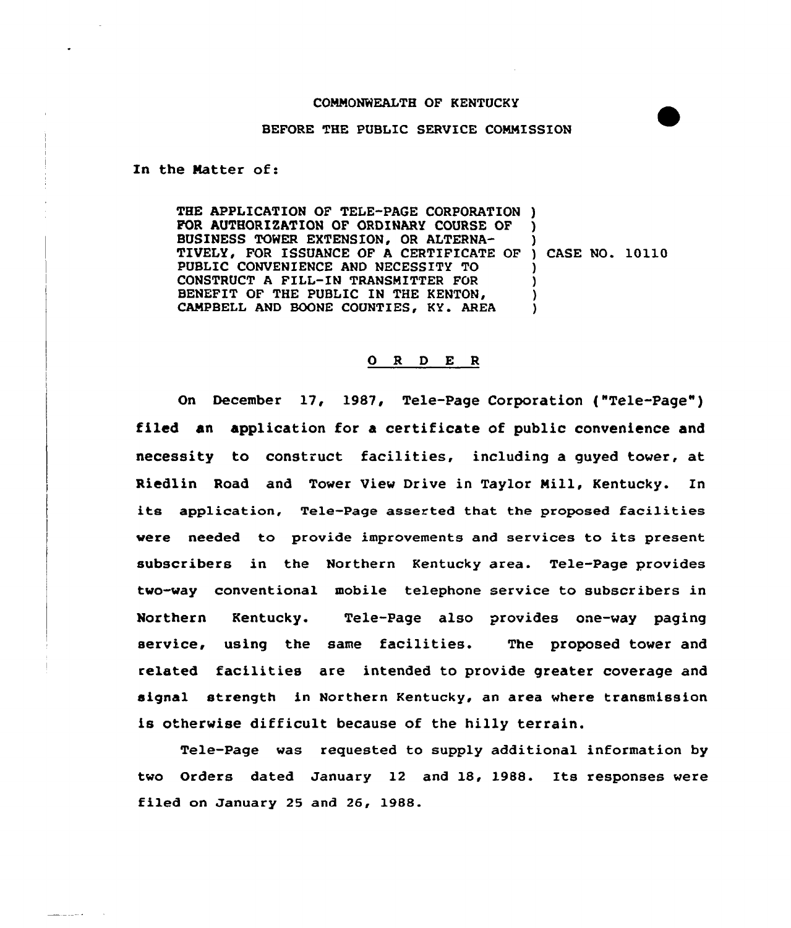## COMMONWEALTH OF KENTUCKY

## BEFORE THE PUBLIC SERVICE COMMISSION

In the Matter of:

THE APPLICATION OF TELE-PAGE CORPORATION ) FOR AUTHORIZATION OF ORDINARY COURSE OF BUSINESS TOWER EXTENSION, OR ALTERNA-BUSINESS TOWER EXTENSION, OR ALTERNA-<br>TIVELY, FOR ISSUANCE OF A CERTIFICATE OF ) CASE NO. 10110 PUBLIC CONVENIENCE AND NECESSITY TO CONSTRUCT <sup>A</sup> FILL-IN TRANSMITTER FOR BENEFIT OF THE PUBLIC IN THE KENTON, CAMPBELL AND BOONE COUNTIES, KY. AREA ) ) ) ) )

## 0 R <sup>D</sup> E <sup>R</sup>

On December 17, 1987, Tele-Page Corporation ("Tele-Page" ) filed an application for a certificate of public convenience and necessity to construct facilities, including a guyed tower, at Riedlin Road and Tower View Drive in Taylor Mill, Kentucky. In its application, Tele-Page asserted that the proposed facilities were needed to provide improvements and services to its present subscribers in the Northern Kentucky area. Tele-Page provides two-way conventional mobile telephone service to subscribers in Northern Kentucky. Tele-Page also provides one-way paging service, using the same facilities. The proposed tower and related facilities are intended to provide greater coverage and signal strength in Northern Kentucky, an area where transmission is otherwise difficult because of the hilly terrain.

Tele-Page was requested to supply additional information by two Orders dated January 12 and 18, 1988. 1ts responses were filed on January 25 and 26, 1988.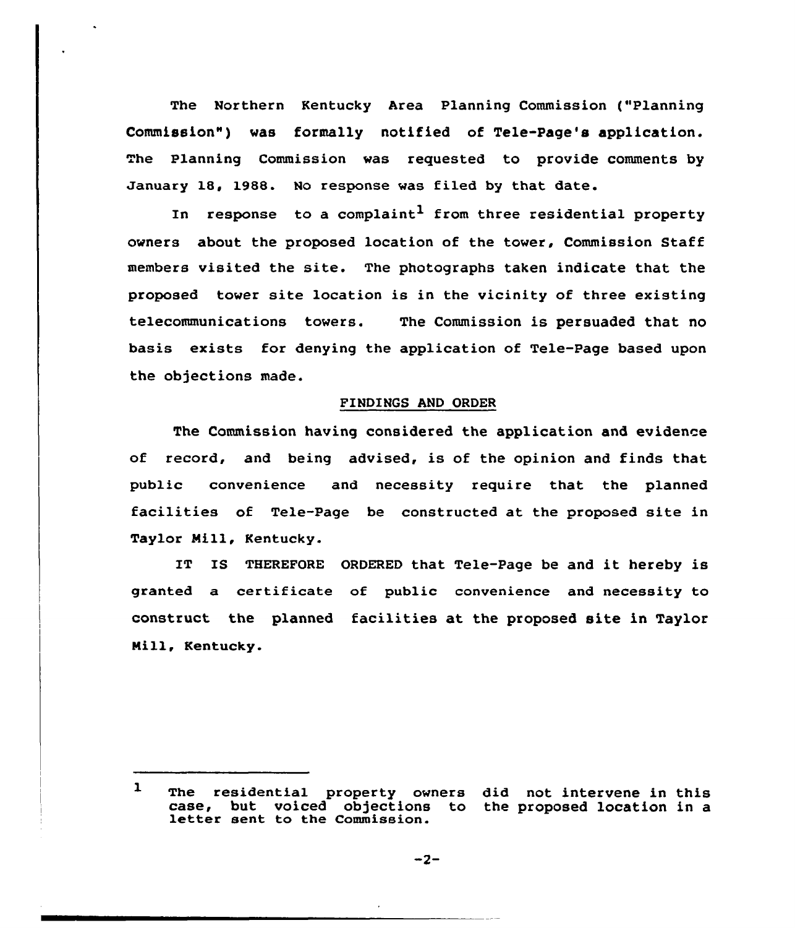The Northern Kentucky Area Planning Commission ("Planning Commission") was formally notified of Tele-Page's application. he Planning Commission was requested to provide comments by January 18, 1988. No response was filed by that date.

In response to a complaint<sup>1</sup> from three residential property owners about the proposed location of the tower, Commission Staff members visited the site. The photographs taken indicate that the proposed tower site location is in the vicinity of three existing telecommunications towers. The Commission is persuaded that no basis exists for denying the application of Tele-Page based upon the objections made.

## FINDINGS AND ORDER

The Commission having considered the application and evidence of record, and being advised, is of the opinion and finds that public convenience and necessity require that the planned facilities of Tele-Page be constructed at the proposed site in Taylor Mill, Kentucky.

IT IS THEREPORE ORDERED that Tele-Page be and it hereby is granted a certificate of public convenience and necessity to construct the planned facilities at the proposed site in Taylor Mill, Kentucky.

 $\mathbf{1}$ The residential property owners did not intervene in this case, but voiced objections to the proposed location in a letter sent to the Commission.